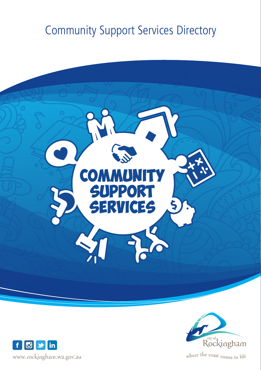### Community Support Services Directory







where the coast comes to life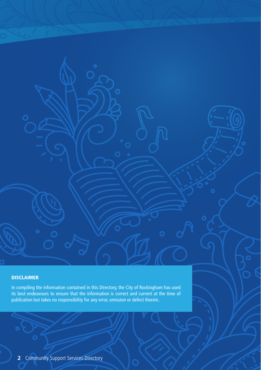#### DISCLAIMER

In compiling the information contained in this Directory, the City of Rockingham has used its best endeavours to ensure that the information is correct and current at the time of publication but takes no responsibility for any error, omission or defect therein.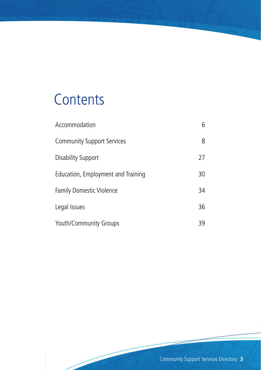### **Contents**

| Accommodation                      | 6   |
|------------------------------------|-----|
| <b>Community Support Services</b>  | 8   |
| <b>Disability Support</b>          | 27  |
| Education, Employment and Training | 30  |
| <b>Family Domestic Violence</b>    | 34  |
| Legal Issues                       | 36. |
| <b>Youth/Community Groups</b>      | 39  |

Community Support Services Directory **3**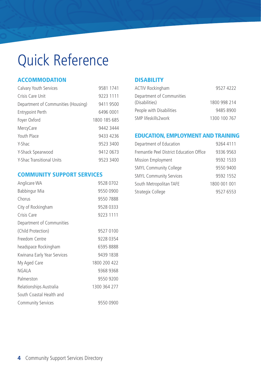# Quick Reference

#### ACCOMMODATION

| Calvary Youth Services              | 9581 1741    |
|-------------------------------------|--------------|
| Crisis Care Unit                    | 9223 1111    |
| Department of Communities (Housing) | 94119500     |
| Entrypoint Perth                    | 6496 0001    |
| Fover Oxford                        | 1800 185 685 |
| MercyCare                           | 9442 3444    |
| Youth Place                         | 9433 4236    |
| Y-Shac                              | 9523 3400    |
| Y-Shack Spearwood                   | 9412 0673    |
| Y-Shac Transitional Units           | 9523 3400    |

#### COMMUNITY SUPPORT SERVICES

| Anglicare WA                | 9528 0702    |
|-----------------------------|--------------|
| Babbingur Mia               | 9550 0900    |
| Chorus                      | 9550 7888    |
| City of Rockingham          | 9528 0333    |
| Crisis Care                 | 9223 1111    |
| Department of Communities   |              |
| (Child Protection)          | 9527 0100    |
| Freedom Centre              | 9228 0354    |
| headspace Rockingham        | 65958888     |
| Kwinana Early Year Services | 9439 1838    |
| My Aged Care                | 1800 200 422 |
| NGALA                       | 9368 9368    |
| Palmerston                  | 9550 9200    |
| Relationships Australia     | 1300 364 277 |
| South Coastal Health and    |              |
| <b>Community Services</b>   | 9550 0900    |

#### **DISABILITY**

| <b>ACTIV Rockingham</b>   | 9527 4222    |
|---------------------------|--------------|
| Department of Communities |              |
| (Disabilities)            | 1800 998 214 |
| People with Disabilities  | 9485 8900    |
| SMP lifeskills2work       | 1300 100 767 |

#### EDUCATION, EMPLOYMENT AND TRAINING

| Department of Education                  | 9264 4111    |
|------------------------------------------|--------------|
| Fremantle Peel District Education Office | 9336 9563    |
| Mission Employment                       | 9592 1533    |
| <b>SMYL Community College</b>            | 9550 9400    |
| <b>SMYL Community Services</b>           | 9592 1552    |
| South Metropolitan TAFE                  | 1800 001 001 |
| Strategix College                        | 9527 6553    |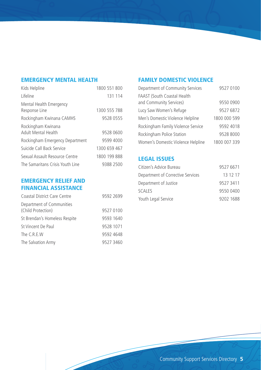#### EMERGENCY MENTAL HEALTH

| Kids Helpline                                    | 1800 551 800 |
|--------------------------------------------------|--------------|
| Lifeline                                         | 131 114      |
| Mental Health Emergency<br>Response Line         | 1300 555 788 |
| Rockingham Kwinana CAMHS                         | 9528 0555    |
| Rockingham Kwinana<br><b>Adult Mental Health</b> | 9528 0600    |
| Rockingham Emergency Department                  | 9599 4000    |
| Suicide Call Back Service                        | 1300 659 467 |
| Sexual Assault Resource Centre                   | 1800 199 888 |
| The Samaritans Crisis Youth Line                 | 9388 2500    |

#### EMERGENCY RELIEF AND FINANCIAL ASSISTANCE

| Coastal District Care Centre                    | 9592 2699 |
|-------------------------------------------------|-----------|
| Department of Communities<br>(Child Protection) | 9527 0100 |
| St Brendan's Homeless Respite                   | 9593 1640 |
| St Vincent De Paul                              | 9528 1071 |
| The C.R.E.W                                     | 9592 4648 |
| The Salvation Army                              | 9527 3460 |

#### FAMILY DOMESTIC VIOLENCE

| Department of Community Services                       | 9527 0100    |
|--------------------------------------------------------|--------------|
| FAAST (South Coastal Health<br>and Community Services) | 9550 0900    |
| Lucy Saw Women's Refuge                                | 9527 6872    |
| Men's Domestic Violence Helpline                       | 1800 000 599 |
| Rockingham Family Violence Service                     | 9592 4018    |
| Rockingham Police Station                              | 9528 8000    |
| Women's Domestic Violence Helpline                     | 1800 007 339 |

#### LEGAL ISSUES

| 9527 6671 |
|-----------|
| 13 12 17  |
| 9527 3411 |
| 9550 0400 |
| 9202 1688 |
|           |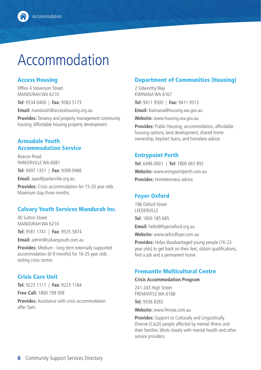#### Accommodation

### Accommodation

#### Access Housing

Office 4 Stevenson Street MANDURAH WA 6210

**Tel:** 9534 0400 | **Fax:** 9583 5173

**Email:** mandurah@accesshousing.org.au

**Provides:** Tenancy and property management community housing. Affordable housing property development.

#### Armadale Youth Accommodation Service

Beacon Road PARKERVILLE WA 6081

**Tel:** 9497 1351 | **Fax:** 9399 9466

**Email:** ayas@parkerville.org.au

**Provides:** Crisis accommodation for 15-20 year olds. Maximum stay three months.

#### Calvary Youth Services Mandurah Inc.

40 Sutton Street MANDURAH WA 6210

**Tel:** 9581 1741 | **Fax:** 9535 5874

**Email:** admin@calvaryyouth.com.au

**Provides:** Medium - long term externally supported accommodation (6-9 months) for 16-25 year olds exiting crisis centre.

#### Crisis Care Unit

**Tel:** 9223 1111 | **Fax:** 9223 1184 **Free Call:** 1800 199 008

**Provides:** Assistance with crisis accommodation after 5pm.

#### Department of Communities (Housing)

2 Sidworthy Way KWINANA WA 6167

**Tel:** 9411 9500 | **Fax:** 9411 9513

**Email:** Kwinana@housing.wa.gov.au

**Website:** <www.housing.wa.gov.au>

**Provides:** Public Housing, accommodation, affordable housing options, land development, shared home ownership, keystart loans, and homeless advice.

#### Entrypoint Perth

**Tel:** 6496 0001 | **Tel:** 1800 065 892 **Website:** <www.entrypointperth.com.au> **Provides:** Homelessness advice

#### Foyer Oxford

196 Oxford Street LEEDERVILLE **Tel:** 1800 185 685 **Email:** hello@foyeroxford.org.au **Website:** <www.oxfordfoyer.com.au>

**Provides:** Helps disadvantaged young people (16-23 year olds) to get back on their feet, obtain qualifications, find a job and a permanent home.

#### Fremantle Multicultural Centre

#### **Crisis Accommodation Program**

241-243 High Street FREMANTLE WA 6168

**Tel:** 9336 8282

**Website:** <www.fmcwa.com.au>

**Provides:** Support to Culturally and Linguistically Diverse (CaLD) people affected by mental illness and their families. Work closely with mental health and other service providers.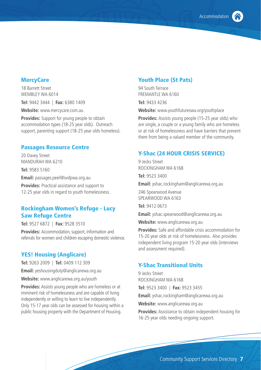

#### **MercyCare**

18 Barrett Street WEMBLEY WA 6014

**Tel:** 9442 3444 | **Fax:** 6380 1409

**Website:** <www.mercycare.com.au>

**Provides:** Support for young people to obtain accommodation types (18-25 year olds). Outreach support, parenting support (18-25 year olds homeless).

#### Passages Resource Centre

20 Davey Street MANDURAH WA 6210

**Tel:** 9583 5160

**Email:** passages.peel@svdpwa.org.au

**Provides:** Practical assistance and support to 12-25 year olds in regard to youth homelessness.

#### Rockingham Women's Refuge - Lucy Saw Refuge Centre

**Tel:** 9527 6872 | **Fax:** 9528 3510

**Provides:** Accommodation, support, information and referrals for women and children escaping domestic violence.

#### YES! Housing (Anglicare)

**Tel:** 9263 2009 | **Tel:** 0409 112 309

**Email:** yeshousingduty@anglicarewa.org.au

**Website:** <www.anglicarewa.org.au/youth>

**Provides:** Assists young people who are homeless or at imminent risk of homelessness and are capable of living independently or willing to learn to live independently. Only 15-17 year olds can be assessed for housing within a public housing property with the Department of Housing.

#### Youth Place (St Pats)

94 South Terrace FREMANTLE WA 6160

**Tel:** 9433 4236

**Website:**<www.youthfutureswa.org/youthplace>

**Provides:** Assists young people (15-25 year olds) who are single, a couple or a young family who are homeless or at risk of homelessness and have barriers that prevent them from being a valued member of the community.

#### Y-Shac (24 HOUR CRISIS SERVICE)

9 Jecks Street ROCKINGHAM WA 6168

**Tel:** 9523 3400

**Email:** yshac.rockingham@anglicarewa.org.au

246 Spearwood Avenue SPEARWOOD WA 6163

**Tel:** 9412 0673

**Email:** yshac.spearwood@anglicarewa.org.au

**Website:**<www.anglicarewa.org.au>

 15-20 year olds at risk of homelessness. Also provides **Provides:** Safe and affordable crisis accommodation for independent living program 15-20 year olds (interviews and assessment required).

#### Y-Shac Transitional Units

9 Jecks Street ROCKINGHAM WA 6168

**Tel:** 9523 3400 | **Fax:** 9523 3455

**Email:** yshac.rockingham@anglicarewa.org.au

**Website:**<www.anglicarewa.org.au>

**Provides:** Assistance to obtain independent housing for 16-25 year olds needing ongoing support.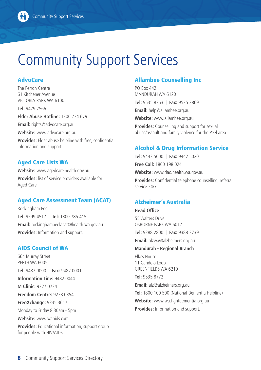## Community Support Services

#### **AdvoCare**

The Perron Centre 61 Kitchener Avenue VICTORIA PARK WA 6100

**Tel:** 9479 7566

**Elder Abuse Hotline:** 1300 724 679

**Email:** rights@advocare.org.au

**Website:**<www.advocare.org.au>

**Provides:** Elder abuse helpline with free, confidential information and support.

#### Aged Care Lists WA

**Website:** <www.agedcare.health.gov.au> **Provides:** list of service providers available for Aged Care.

#### Aged Care Assessment Team (ACAT)

Rockingham Peel **Tel:** 9599 4517 | **Tel:** 1300 785 415 **Email:** rockinghampeelacat@health.wa.gov.au **Provides:** Information and support.

#### AIDS Council of WA

664 Murray Street PERTH WA 6005 **Tel:** 9482 0000 | **Fax:** 9482 0001 **Information Line:** 9482 0044 **M Clinic:** 9227 0734 **Freedom Centre:** 9228 0354 **FreoXchange:** 9335 3617 Monday to Friday 8.30am - 5pm **Website:**<www.waaids.com> **Provides:** Educational information, support group for people with HIV/AIDS.

#### Allambee Counselling Inc

PO Box 442 MANDURAH WA 6120 **Tel:** 9535 8263 | **Fax:** 9535 3869 **Email:** help@allambee.org.au **Website:** <www.allambee.org.au>

**Provides:** Counselling and support for sexual abuse/assault and family violence for the Peel area.

#### Alcohol & Drug Information Service

**Tel:** 9442 5000 | **Fax:** 9442 5020 **Free Call:** 1800 198 024 **Website:** <www.dao.health.wa.gov.au> **Provides:** Confidential telephone counselling, referral service 24/7.

#### Alzheimer's Australia

**Head Offce** 

55 Walters Drive OSBORNE PARK WA 6017

**Tel:** 9388 2800 | **Fax:** 9388 2739

**Email:** alzwa@alzheimers.org.au

#### **Mandurah - Regional Branch**

Ella's House 11 Candelo Loop GREENFIELDS WA 6210

**Tel:** 9535 8772 **Email:** alz@alzheimers.org.au **Tel:** 1800 100 500 (National Dementia Helpline) **Website:** [www.wa.fghtdementia.org.au](www.wa.fightdementia.org.au) **Provides:** Information and support.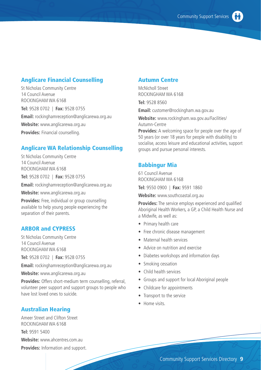

#### Anglicare Financial Counselling

St Nicholas Community Centre 14 Council Avenue ROCKINGHAM WA 6168 **Tel:** 9528 0702 | **Fax:** 9528 0755

**Email:** rockinghamreception@anglicarewa.org.au

**Website:** <www.anglicarewa.org.au>

**Provides:** Financial counselling.

#### Anglicare WA Relationship Counselling

St Nicholas Community Centre 14 Council Avenue ROCKINGHAM WA 6168

**Tel:** 9528 0702 | **Fax:** 9528 0755

**Email:** rockinghamreception@anglicarewa.org.au

**Website:** <www.anglicarewa.org.au>

**Provides:** Free, individual or group counselling available to help young people experiencing the separation of their parents.

#### ARBOR and CYPRESS

St Nicholas Community Centre 14 Council Avenue ROCKINGHAM WA 6168

**Tel:** 9528 0702 | **Fax:** 9528 0755

**Email:** rockinghamreception@anglicarewa.org.au

**Website:** <www.anglicarewa.org.au>

**Provides:** Offers short-medium term counselling, referral, volunteer peer support and support groups to people who have lost loved ones to suicide.

#### Australian Hearing

Ameer Street and Clifton Street ROCKINGHAM WA 6168 **Tel:** 9591 5400 **Website:** <www.ahcentres.com.au>

**Provides:** Information and support.

#### Autumn Centre

McNicholl Street ROCKINGHAM WA 6168

**Tel:** 9528 8560

**Email:** customer@rockingham.wa.gov.au

**Website:** [www.rockingham.wa.gov.au/Facilities/](www.rockingham.wa.gov.au/Facilities) Autumn-Centre

**Provides:** A welcoming space for people over the age of 50 years (or over 18 years for people with disability) to socialise, access leisure and educational activities, support groups and pursue personal interests.

#### Babbingur Mia

61 Council Avenue ROCKINGHAM WA 6168

**Tel:** 9550 0900 | **Fax:** 9591 1860

**Website:**<www.southcoastal.org.au>

**Provides:** The service employs experienced and qualified Aboriginal Health Workers, a GP, a Child Health Nurse and a Midwife, as well as:

- Primary health care
- Free chronic disease management
- Maternal health services
- Advice on nutrition and exercise
- Diabetes workshops and information days
- Smoking cessation
- Child health services
- Groups and support for local Aboriginal people
- Childcare for appointments
- Transport to the service
- Home visits.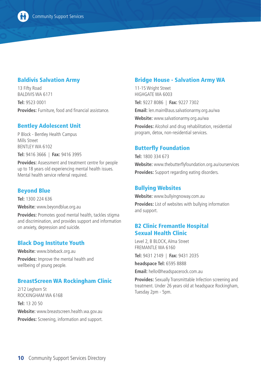

#### Baldivis Salvation Army

13 Fifty Road BALDIVIS WA 6171

**Tel:** 9523 0001 Provides: Furniture, food and financial assistance.

#### Bentley Adolescent Unit

P Block - Bentley Health Campus Mills Street BENTLEY WA 6102

**Tel:** 9416 3666 | **Fax:** 9416 3995

 up to 18 years old experiencing mental health issues. **Provides:** Assessment and treatment centre for people Mental health service referral required.

#### Beyond Blue

**Tel:** 1300 224 636

**Website:** <www.beyondblue.org.au>

**Provides:** Promotes good mental health, tackles stigma and discrimination, and provides support and information on anxiety, depression and suicide.

#### Black Dog Institute Youth

**Website:**<www.biteback.org.au> **Provides:** Improve the mental health and wellbeing of young people.

#### BreastScreen WA Rockingham Clinic

2/12 Leghorn St ROCKINGHAM WA 6168 **Tel:** 13 20 50 **Website:**<www.breastscreen.health.wa.gov.au> **Provides:** Screening, information and support.

#### Bridge House - Salvation Army WA

11-15 Wright Street HIGHGATE WA 6003

**Tel:** 9227 8086 | **Fax:** 9227 7302

**Email:** len.main@aus.salvationarmy.org.au/wa

**Website:** <www.salvationarmy.org.au/wa>

**Provides:** Alcohol and drug rehabilitation, residential program, detox, non-residential services.

#### **Butterfly Foundation**

**Tel:** 1800 334 673 **Website:** [www.thebutterfyfoundation.org.au/ourservices](www.thebutterflyfoundation.org.au/ourservices)  **Provides:** Support regarding eating disorders.

#### Bullying Websites

**Website:** <www.bullyingnoway.com.au>

**Provides:** List of websites with bullying information and support.

#### B2 Clinic Fremantle Hospital Sexual Health Clinic

Level 2, B BLOCK, Alma Street FREMANTLE WA 6160

**Tel:** 9431 2149 | **Fax:** 9431 2035

**headspace Tel:** 6595 8888

**Email:** hello@headspacerock.com.au

**Provides:** Sexually Transmittable Infection screening and treatment. Under 26 years old at headspace Rockingham, Tuesday 2pm - 5pm.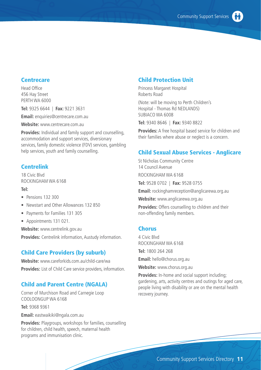

#### **Centrecare**

Head Office 456 Hay Street PERTH WA 6000

**Tel:** 9325 6644 | **Fax:** 9221 3631

**Email:** enquiries@centrecare.com.au

**Website:** <www.centrecare.com.au>

**Provides:** Individual and family support and counselling, accommodation and support services, diversionary services, family domestic violence (FDV) services, gambling help services, youth and family counselling.

#### Centrelink

18 Civic Blvd ROCKINGHAM WA 6168

**Tel:** 

- Pensions 132 300
- Newstart and Other Allowances 132 850
- Payments for Families 131 305
- Appointments 131 021.

**Website:** <www.centrelink.gov.au>

**Provides:** Centrelink information, Austudy information.

#### Child Care Providers (by suburb)

**Website:** <www.careforkids.com.au/child-care/wa> **Provides:** List of Child Care service providers, information.

#### Child and Parent Centre (NGALA)

Corner of Murchison Road and Carnegie Loop COOLOONGUP WA 6168

**Tel:** 9368 9361

**Email:** eastwaikiki@ngala.com.au

**Provides:** Playgroups, workshops for families, counselling for children, child health, speech, maternal health programs and immunisation clinic.

#### Child Protection Unit

Princess Margaret Hospital Roberts Road

(Note: will be moving to Perth Children's Hospital - Thomas Rd NEDLANDS) SUBIACO WA 6008

**Tel:** 9340 8646 | **Fax:** 9340 8822

**Provides:** A free hospital based service for children and their families where abuse or neglect is a concern.

#### Child Sexual Abuse Services - Anglicare

St Nicholas Community Centre 14 Council Avenue ROCKINGHAM WA 6168

**Tel:** 9528 0702 | **Fax:** 9528 0755

**Email:** rockinghamreception@anglicarewa.org.au

**Website:** <www.anglicarewa.org.au>

**Provides:** Offers counselling to children and their non-offending family members.

#### Chorus

4 Civic Blvd ROCKINGHAM WA 6168 **Tel:** 1800 264 268 **Email:** hello@chorus.org.au

**Website:**<www.chorus.org.au>

**Provides:** In-home and social support including; gardening, arts, activity centres and outings for aged care, people living with disability or are on the mental health recovery journey.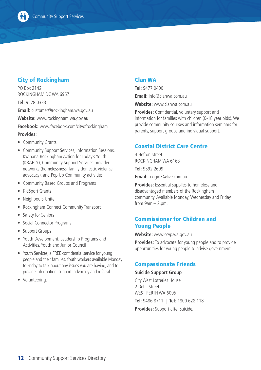

#### City of Rockingham

PO Box 2142 ROCKINGHAM DC WA 6967

**Tel:** 9528 0333

**Email:** customer@rockingham.wa.gov.au **Website:**<www.rockingham.wa.gov.au> **Facebook:** <www.facebook.com/cityofrockingham> **Provides:** 

- Community Grants
- Community Support Services: Information Sessions, Kwinana Rockingham Action for Today's Youth (KRAFTY), Community Support Services provider networks (homelessness, family domestic violence, advocacy), and Pop Up Community activities
- Community Based Groups and Programs
- KidSport Grants
- Neighbours Unite
- Rockingham Connect Community Transport
- Safety for Seniors
- Social Connector Programs
- Support Groups
- Youth Development; Leadership Programs and Activities, Youth and Junior Council
- Youth Services; a FREE confidential service for young people and their families. Youth workers available Monday to Friday to talk about any issues you are having, and to provide information, support, advocacy and referral
- Volunteering.

#### Clan WA

**Tel:** 9477 0400 **Email:** info@clanwa.com.au Website: <www.clanwa.com.au>

**Provides:** Confidential, voluntary support and information for families with children (0-18 year olds). We provide community courses and information seminars for parents, support groups and individual support.

#### Coastal District Care Centre

4 Hefron Street ROCKINGHAM WA 6168

**Tel:** 9592 2699

**Email:** roogirl3@live.com.au

**Provides:** Essential supplies to homeless and disadvantaged members of the Rockingham community. Available Monday, Wednesday and Friday from 9am – 2.pm.

#### Commissioner for Children and Young People

**Website:** <www.ccyp.wa.gov.au>

**Provides:** To advocate for young people and to provide opportunities for young people to advise government.

#### Compassionate Friends

#### **Suicide Support Group**

City West Lotteries House 2 Dehli Street WEST PERTH WA 6005

**Tel:** 9486 8711 | **Tel:** 1800 628 118

**Provides:** Support after suicide.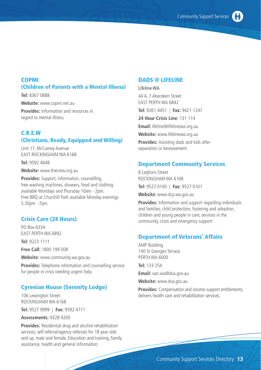

### COPMI (Children of Parents with a Mental Illness)

**Tel:** 8367 0888 **Website:** <www.copmi.net.au> **Provides:** Information and resources in regard to mental illness.

#### C.R.E.W (Christians, Ready, Equipped and Willing)

Unit 17, McCamey Avenue EAST ROCKINGHAM WA 6168

**Tel:** 9592 4648

**Website:** <www.thecrew.org.au>

Provides: Support, information, counselling. available Mondays and Thursday 10am - 2pm. free washing machines, showers, food and clothing Free BBQ at Churchill Park available Monday evenings 5.30pm - 7pm.

#### Crisis Care (24 Hours)

PO Box 6334 EAST PERTH WA 6892

**Tel:** 9223 1111

**Free Call:** 1800 199 008

**Website:** <www.community.wa.gov.au>

**Provides:** Telephone information and counselling service for people in crisis needing urgent help.

#### Cyrenian House (Serenity Lodge)

106 Lewington Street ROCKINGHAM WA 6168

**Tel:** 9527 9999 | **Fax:** 9592 4711

**Assessments:** 9328 9200

**Provides:** Residential drug and alcohol rehabilitation services, self-referral/agency referrals for 18 year olds and up, male and female. Education and training, family assistance, health and general information.

#### DADS @ LIFELINE

Lifeline WA 44 A, 7 Aberdeen Street EAST PERTH WA 6842

**Tel:** 9261 4451 | **Fax:** 9421 1247

**24 Hour Crisis Line:** 131 114

**Email:** lifeline@lifelinewa.org.au

**Website:**<www.lifelinewa.org.au>

**Provides:** Assisting dads and kids after separation or bereavement.

#### Department Community Services

8 Leghorn Street ROCKINGHAM WA 6168

**Tel:** 9527 0100 | **Fax:** 9527 0101

**Website:** <www.dcp.wa.gov.au>

**Provides:** Information and support regarding individuals and families, child protection, fostering and adoption, children and young people in care, services in the community, crisis and emergency support.

#### Department of Veterans' Affairs

AMP Building 140 St Georges Terrace PERTH WA 6000

**Tel:** 133 254

**Email:** van.wa@dva.gov.au

**Website:** <www.dva.gov.au>

**Provides:** Compensation and income support entitlements, delivers health care and rehabilitation services.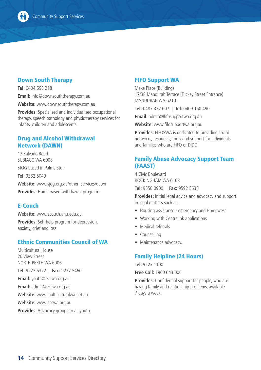

#### Down South Therapy

**Tel:** 0404 698 218 **Email:** info@downsouththerapy.com.au **Website:**<www.downsouththerapy.com.au> **Provides:** Specialised and individualised occupational

therapy, speech pathology and physiotherapy services for infants, children and adolescents.

#### Drug and Alcohol Withdrawal Network (DAWN)

12 Salvado Road SUBIACO WA 6008 SJOG based in Palmerston **Tel:** 9382 6049 **Website:** [www.sjog.org.au/other\\_services/dawn](www.sjog.org.au/other_services/dawn)  **Provides:** Home based withdrawal program.

#### E-Couch

**Website:**<www.ecouch.anu.edu.au>

**Provides:** Self-help program for depression, anxiety, grief and loss.

#### Ethnic Communities Council of WA

Multicultural House 20 View Street NORTH PERTH WA 6006 **Tel:** 9227 5322 | **Fax:** 9227 5460 **Email:** youth@eccwa.org.au **Email:** admin@eccwa.org.au Website:<www.multiculturalwa.net.au> **Website:**<www.eccwa.org.au> **Provides:** Advocacy groups to all youth.

#### FIFO Support WA

Make Place (Building) 17/38 Mandurah Terrace (Tuckey Street Entrance) MANDURAH WA 6210

**Tel:** 0487 332 607 | **Tel:** 0409 150 490

**Email:** admin@ffosupportwa.org.au

**Website:** [www.ffosupportwa.org.au](www.fifosupportwa.org.au) 

 and families who are FIFO or DIDO. **Provides:** FIFOSWA is dedicated to providing social networks, resources, tools and support for individuals

#### Family Abuse Advocacy Support Team (FAAST)

4 Civic Boulevard ROCKINGHAM WA 6168

**Tel:** 9550 0900 | **Fax:** 9592 5635

**Provides:** Initial legal advice and advocacy and support in legal matters such as:

- Housing assistance emergency and Homewest
- Working with Centrelink applications
- Medical referrals
- Counselling
- Maintenance advocacy.

#### Family Helpline (24 Hours)

**Tel:** 9223 1100

**Free Call:** 1800 643 000

Provides: Confidential support for people, who are having family and relationship problems, available 7 days a week.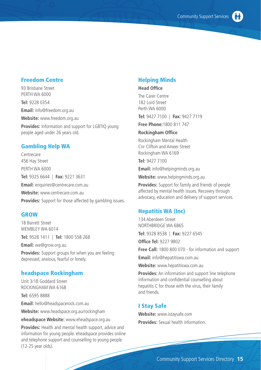

#### Freedom Centre

93 Brisbane Street PERTH WA 6000

**Tel:** 9228 0354

**Email:** info@freedom.org.au

**Website:** <www.freedom.org.au>

**Provides:** Information and support for LGBTIQ young people aged under 26 years old.

#### Gambling Help WA

Centrecare 456 Hay Street PERTH WA 6000 **Tel:** 9325 6644 | **Fax:** 9221 3631 **Email:** enquiries@centrecare.com.au **Website:** <www.centrecare.com.au> **Provides:** Support for those affected by gambling issues.

#### GROW

18 Barrett Street WEMBLEY WA 6014

**Tel:** 9528 1411 | **Tel:** 1800 558 268

**Email:** wa@grow.org.au

**Provides:** Support groups for when you are feeling depressed, anxious, fearful or lonely.

#### headspace Rockingham

Unit 3/18 Goddard Street ROCKINGHAM WA 6168

**Tel:** 6595 8888

**Email:** hello@headspacerock.com.au

**Website:** <www.headspace.org.au/rockingham>

**eheadspace Website:** <www.eheadspace.org.au>

**Provides:** Health and mental health support, advice and information for young people. eheadspace provides online and telephone support and counselling to young people (12-25 year olds).

#### Helping Minds

#### **Head Office**

The Carer Centre 182 Lord Street Perth WA 6000

**Tel:** 9427 7100 | **Fax:** 9427 7119

**Free Phone:**1800 811 747

#### **Rockingham Office**

Rockingham Mental Health Cnr Clifton and Ameer Street Rockingham WA 6169

**Tel:** 9427 7100

**Email:** info@helpingminds.org.au

**Website:** <www.helpingminds.org.au>

**Provides:** Support for family and friends of people affected by mental health issues. Recovery through advocacy, education and delivery of support services.

#### Hepatitis WA (Inc)

134 Aberdeen Street NORTHBRIDGE WA 6865

**Tel:** 9328 8538 | **Fax:** 9227 6545

**Office Tel: 9227 9802** 

**Free Call:** 1800 800 070 - for information and support

**Email:** info@hepatitiswa.com.au

**Website:**<www.hepatitiswa.com.au>

**Provides:** An information and support line telephone information and confdential counselling about hepatitis C for those with the virus, their family and friends.

#### I Stay Safe

**Website:** <www.istaysafe.com> **Provides:** Sexual health information.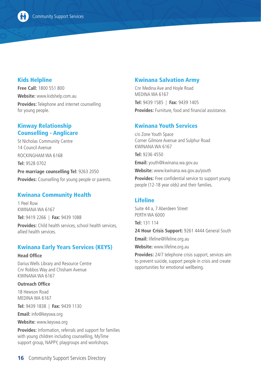

#### Kids Helpline

**Free Call:** 1800 551 800 **Website:** <www.kidshelp.com.au> **Provides:** Telephone and internet counselling for young people.

#### Kinway Relationship Counselling - Anglicare

St Nicholas Community Centre 14 Council Avenue ROCKINGHAM WA 6168

**Tel:** 9528 0702

**Pre marriage counselling Tel:** 9263 2050 **Provides:** Counselling for young people or parents.

#### Kwinana Community Health

1 Peel Row KWINANA WA 6167 **Tel:** 9419 2266 | **Fax:** 9439 1088

**Provides:** Child health services, school health services, allied health services.

#### Kwinana Early Years Services (KEYS)

#### **Head Office**

Darius Wells Library and Resource Centre Cnr Robbos Way and Chisham Avenue KWINANA WA 6167

#### **Outreach Office**

18 Hewson Road MEDINA WA 6167

**Tel:** 9439 1838 | **Fax:** 9439 1130

**Email:** [info@keyswa.org](mailto:info@keyswa.org) 

**Website:**<www.keyswa.org>

**Provides:** Information, referrals and support for families with young children including counselling, MyTime support group, NAPPY, playgroups and workshops.

#### Kwinana Salvation Army

Cnr Medina Ave and Hoyle Road MEDINA WA 6167

**Tel:** 9439 1585 | **Fax:** 9439 1405

Provides: Furniture, food and financial assistance.

#### Kwinana Youth Services

c/o Zone Youth Space Corner Gilmore Avenue and Sulphur Road KWINANA WA 6167

**Tel:** 9236 4550

**Email:** youth@kwinana.wa.gov.au

**Website:** <www.kwinana.wa.gov.au/youth>

**Provides:** Free confidential service to support young people (12-18 year olds) and their families.

#### Lifeline

Suite 44 a, 7 Aberdeen Street PERTH WA 6000

**Tel:** 131 114

24 Hour Crisis Support: 9261 4444 General South

**Email:** lifeline@lifeline.org.au

**Website:** <www.lifeline.org.au>

**Provides:** 24/7 telephone crisis support, services aim to prevent suicide, support people in crisis and create opportunities for emotional wellbeing.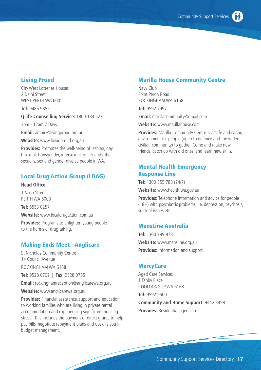

#### Living Proud

City West Lotteries Houses 2 Delhi Street WEST PERTH WA 6005

**Tel:** 9486 9855

**QLife Counselling Service:** 1800 184 527

3pm - 12am 7 Days

**Email:** admin@livingproud.org.au

**Website:** <www.livingproud.org,au>

**Provides:** Promotes the well-being of lesbian, gay, bisexual, transgender, intersexual, queer and other sexually, sex and gender diverse people in WA.

#### Local Drug Action Group (LDAG)

#### **Head Office**

1 Nash Street PERTH WA 6000 **Tel:** 6553 0257

**Website:** <www.localdrugaction.com.au>

**Provides:** Programs to enlighten young people to the harms of drug taking.

#### Making Ends Meet - Anglicare

St Nicholas Community Centre 14 Council Avenue ROCKINGHAM WA 6168

**Tel:** 9528 0702 | **Fax:** 9528 0755

**Email:** rockinghamreception@anglicarewa.org.au

**Website:** <www.anglicarewa.org.au>

**Provides:** Financial assistance, support and education to working families who are living in private rental accommodation and experiencing signifcant 'housing stress'. This includes the payment of direct grants to help pay bills, negotiate repayment plans and upskills you in budget management.

#### Marilla House Community Centre

Navy Club Point Peron Road ROCKINGHAM WA 6168

**Tel:** 9592 7997

**Email:** [marillacommunity@gmail.com](mailto:marillacommunity@gmail.com) 

**Website:**<www.marillahouse.com>

**Provides:** Marilla Community Centre is a safe and caring environment for people (open to defence and the wider civilian community) to gather. Come and make new friends, catch up with old ones, and learn new skills.

#### Mental Health Emergency Response Line

**Tel:** 1300 555 788 (24/7)

**Website:**<www.health.wa.gov.au>

**Provides:** Telephone information and advice for people (18+) with psychiatric problems, i.e. depression, psychosis, suicidal issues etc.

#### **MensLine Australia**

**Tel:** 1300 789 978 **Website:**<www.mensline.org.au> **Provides:** Information and support.

#### **MercyCare**

Aged Care Services 1 Tanby Place COOLOONGUP WA 6168

**Tel:** 9592 9500

**Community and Home Support:** 9442 3498 **Provides:** Residential aged care.

Community Support Services Directory **17**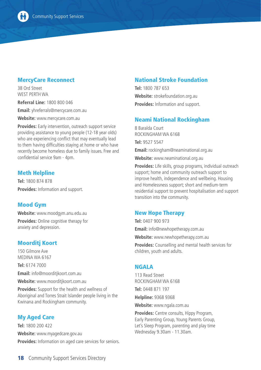

#### MercyCare Reconnect

38 Ord Street WEST PERTH WA

**Referral Line:** 1800 800 046

**Email:** yhreferrals@mercycare.com.au

**Website:**<www.mercycare.com.au>

 confdential service 9am - 4pm. **Provides:** Early intervention, outreach support service providing assistance to young people (12-18 year olds) who are experiencing confict that may eventually lead to them having difficulties staying at home or who have recently become homeless due to family issues. Free and

#### Meth Helpline

**Tel:** 1800 874 878 **Provides:** Information and support.

#### Mood Gym

**Website:**<www.moodgym.anu.edu.au> **Provides:** Online cognitive therapy for anxiety and depression.

#### Moorditj Koort

150 Gilmore Ave MEDINA WA 6167

**Tel:** 6174 7000

**Email:** info@moorditjkoort.com.au

**Website:**<www.moorditjkoort.com.au>

**Provides:** Support for the health and wellness of Aboriginal and Torres Strait Islander people living in the Kwinana and Rockingham community.

#### My Aged Care

**Tel:** 1800 200 422 **Website:**<www.myagedcare.gov.au> **Provides:** Information on aged care services for seniors.

#### National Stroke Foundation

**Tel:** 1800 787 653 **Website:** strokefoundation.org.au **Provides:** Information and support.

#### Neami National Rockingham

8 Baralda Court ROCKINGHAM WA 6168 **Tel:** 9527 5547 **Email:** rockingham@neaminational.org.au **Website:** <www.neaminational.org.au>

**Provides:** Life skills, group programs, individual outreach support; home and community outreach support to improve health, independence and wellbeing. Housing and Homelessness support; short and medium-term residential support to prevent hospitalisation and support transition into the community.

#### New Hope Therapy

**Tel:** 0407 900 973

**Email:** info@newhopetherapy.com.au

**Website:** <www.newhopetherapy.com.au>

**Provides:** Counselling and mental health services for children, youth and adults.

#### NGALA

113 Read Street ROCKINGHAM WA 6168

**Tel:** 0448 871 197

**Helpline:** 9368 9368

**Website:** <www.ngala.com.au>

 **Provides:** Centre consults, Hippy Program, Early Parenting Group, Young Parents Group, Let's Sleep Program, parenting and play time Wednesday 9.30am - 11.30am.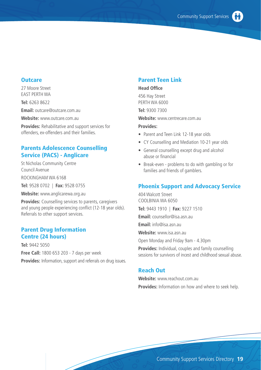

#### **Outcare**

27 Moore Street EAST PERTH WA

**Tel:** 6263 8622

**Email:** outcare@outcare.com.au

**Website:** <www.outcare.com.au>

**Provides:** Rehabilitative and support services for offenders, ex-offenders and their families.

#### Parents Adolescence Counselling Service (PACS) - Anglicare

St Nicholas Community Centre Council Avenue

ROCKINGHAM WA 6168

**Tel:** 9528 0702 | **Fax:** 9528 0755

**Website:** <www.anglicarewa.org.au>

**Provides:** Counselling services to parents, caregivers and young people experiencing confict (12-18 year olds). Referrals to other support services.

#### Parent Drug Information Centre (24 hours)

**Tel:** 9442 5050 **Free Call:** 1800 653 203 - 7 days per week **Provides:** Information, support and referrals on drug issues.

#### Parent Teen Link

#### **Head Offce**

456 Hay Street PERTH WA 6000

**Tel:** 9300 7300

**Website:**<www.centrecare.com.au>

#### **Provides:**

- Parent and Teen Link 12-18 year olds
- CY Counselling and Mediation 10-21 year olds
- General counselling except drug and alcohol abuse or fnancial
- Break-even problems to do with gambling or for families and friends of gamblers.

#### Phoenix Support and Advocacy Service

404 Walcott Street COOLBINIA WA 6050 **Tel:** 9443 1910 | **Fax:** 9227 1510 **Email:** [counsellor@isa.asn.au](mailto:counsellor@isa.asn.au)  **Email:** [info@isa.asn.au](mailto:info@isa.asn.au)  **Website:**<www.isa.asn.au> Open Monday and Friday 9am - 4.30pm **Provides:** Individual, couples and family counselling sessions for survivors of incest and childhood sexual abuse.

#### Reach Out

**Website:**<www.reachout.com.au> **Provides:** Information on how and where to seek help.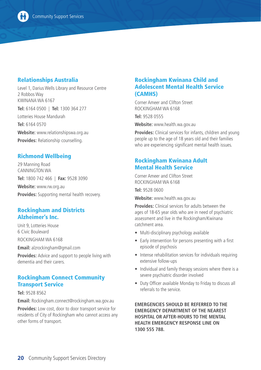

#### Relationships Australia

Level 1, Darius Wells Library and Resource Centre 2 Robbos Way KWINANA WA 6167 **Tel:** 6164 0500 | **Tel:** 1300 364 277

Lotteries House Mandurah

**Tel:** 6164 0570 **Website:**<www.relationshipswa.org.au>

**Provides:** Relationship counselling.

#### Richmond Wellbeing

29 Manning Road CANNINGTON WA **Tel:** 1800 742 466 | **Fax:** 9528 3090 **Website:**<www.rw.org.au> **Provides:** Supporting mental health recovery.

#### Rockingham and Districts Alzheimer's Inc.

Unit 9, Lotteries House 6 Civic Boulevard

ROCKINGHAM WA 6168

**Email:** [alzrockingham@gmail.com](mailto:alzrockingham@gmail.com)

**Provides:** Advice and support to people living with dementia and their carers.

#### Rockingham Connect Community Transport Service

**Tel:** 9528 8562

**Email:** Rockingham.connect@rockingham.wa.gov.au

**Provides:** Low cost, door to door transport service for residents of City of Rockingham who cannot access any other forms of transport.

#### Rockingham Kwinana Child and Adolescent Mental Health Service (CAMHS)

Corner Ameer and Clifton Street ROCKINGHAM WA 6168

**Tel:** 9528 0555

**Website:** <www.health.wa.gov.au>

**Provides:** Clinical services for infants, children and young people up to the age of 18 years old and their families who are experiencing significant mental health issues.

#### Rockingham Kwinana Adult Mental Health Service

Corner Ameer and Clifton Street ROCKINGHAM WA 6168

**Tel:** 9528 0600

**Website:** <www.health.wa.gov.au>

**Provides:** Clinical services for adults between the ages of 18-65 year olds who are in need of psychiatric assessment and live in the Rockingham/Kwinana catchment area.

- Multi-disciplinary psychology available
- Early intervention for persons presenting with a first episode of psychosis
- Intense rehabilitation services for individuals requiring extensive follow-ups
- Individual and family therapy sessions where there is a severe psychiatric disorder involved
- Duty Officer available Monday to Friday to discuss all referrals to the service.

**EMERGENCIES SHOULD BE REFERRED TO THE EMERGENCY DEPARTMENT OF THE NEAREST HOSPITAL OR AFTER-HOURS TO THE MENTAL HEALTH EMERGENCY RESPONSE LINE ON 1300 555 788.**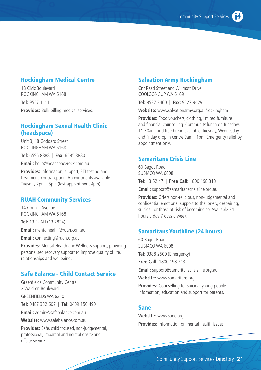

#### Rockingham Medical Centre

18 Civic Boulevard ROCKINGHAM WA 6168 **Tel:** 9557 1111

**Provides:** Bulk billing medical services.

#### Rockingham Sexual Health Clinic (headspace)

Unit 3, 18 Goddard Street ROCKINGHAM WA 6168

**Tel:** 6595 8888 | **Fax:** 6595 8880

**Email:** hello@headspacerock.com.au

**Provides:** Information, support, STI testing and treatment, contraception. Appointments available Tuesday 2pm - 5pm (last appointment 4pm).

#### RUAH Community Services

14 Council Avenue ROCKINGHAM WA 6168

**Tel:** 13 RUAH (13 7824)

**Email:** mentalhealth@ruah.com.au

**Email:** connecting@ruah.org.au

**Provides:** Mental Health and Wellness support; providing personalised recovery support to improve quality of life, relationships and wellbeing.

#### Safe Balance - Child Contact Service

Greenfelds Community Centre 2 Waldron Boulevard GREENFIELDS WA 6210

**Tel:** 0487 332 607 | **Tel:** 0409 150 490

**Email:** admin@safebalance.com.au

**Website:** <www.safebalance.com.au>

**Provides:** Safe, child focused, non-judgemental, professional, impartial and neutral onsite and offsite service.

#### Salvation Army Rockingham

Cnr Read Street and Willmott Drive COOLOONGUP WA 6169

**Tel:** 9527 3460 | **Fax:** 9527 9429

**Website:**<www.salvationarmy.org.au/rockingham>

 11.30am, and free bread available. Tuesday, Wednesday **Provides:** Food vouchers, clothing, limited furniture and fnancial counselling. Community lunch on Tuesdays and Friday drop in centre 9am - 1pm. Emergency relief by appointment only.

#### Samaritans Crisis Line

60 Bagot Road SUBIACO WA 6008

**Tel:** 13 52 47 | **Free Call:** 1800 198 313

**Email:** support@samaritanscrisisline.org.au

**Provides:** Offers non-religious, non-judgemental and confidential emotional support to the lonely, despairing, suicidal, or those at risk of becoming so. Available 24 hours a day 7 days a week.

#### Samaritans Youthline (24 hours)

60 Bagot Road SUBIACO WA 6008 **Tel:** 9388 2500 (Emergency)

**Free Call:** 1800 198 313

**Email:** support@samaritanscrisisline.org.au

**Website:**<www.samaritans.org>

 **Provides:** Counselling for suicidal young people. Information, education and support for parents.

#### Sane

**Website:**<www.sane.org> **Provides:** Information on mental health issues.

Community Support Services Directory **21**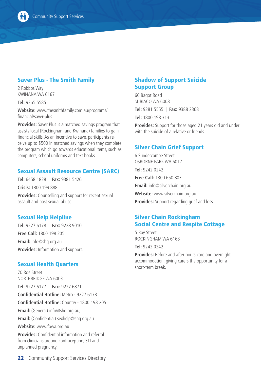

#### Saver Plus - The Smith Family

2 Robbos Way KWINANA WA 6167

**Tel:** 9265 5585

**Website:** [www.thesmithfamily.com.au/programs/](www.thesmithfamily.com.au/programs) fnancial/saver-plus

**Provides:** Saver Plus is a matched savings program that assists local (Rockingham and Kwinana) families to gain fnancial skills. As an incentive to save, participants receive up to \$500 in matched savings when they complete the program which go towards educational items, such as computers, school uniforms and text books.

#### Sexual Assault Resource Centre (SARC)

**Tel:** 6458 1828 | **Fax:** 9381 5426 **Crisis:** 1800 199 888 **Provides:** Counselling and support for recent sexual assault and past sexual abuse.

#### Sexual Help Helpline

**Tel:** 9227 6178 | **Fax:** 9228 9010 **Free Call:** 1800 198 205 **Email:** info@shq.org.au **Provides:** Information and support.

#### Sexual Health Quarters

70 Roe Street NORTHBRIDGE WA 6003 **Tel:** 9227 6177 | **Fax:** 9227 6871 **Confdential Hotline:** Metro - 9227 6178 **Confdential Hotline:** Country - 1800 198 205 **Email:** (General) info@shq.org.au, **Email:** (Confidential) sexhelp@shq.org.au **Website:**<www.fpwa.org.au> **Provides:** Confidential information and referral

from clinicians around contraception, STI and unplanned pregnancy.

#### Shadow of Support Suicide Support Group

60 Bagot Road SUBIACO WA 6008 **Tel:** 9381 5555 | **Fax:** 9388 2368 **Tel:** 1800 198 313

**Provides:** Support for those aged 21 years old and under with the suicide of a relative or friends.

#### Silver Chain Grief Support

6 Sundercombe Street OSBORNE PARK WA 6017 **Tel:** 9242 0242 **Free Call:** 1300 650 803 **Email:** info@silverchain.org.au **Website:** <www.silverchain.org.au> **Provides:** Support regarding grief and loss.

#### Silver Chain Rockingham Social Centre and Respite Cottage

5 Ray Street ROCKINGHAM WA 6168

**Tel:** 9242 0242

**Provides:** Before and after hours care and overnight accommodation, giving carers the opportunity for a short-term break.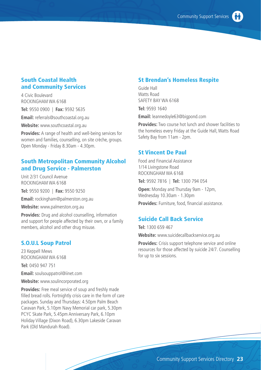

#### South Coastal Health and Community Services

4 Civic Boulevard ROCKINGHAM WA 6168

**Tel:** 9550 0900 | **Fax:** 9592 5635

**Email:** referrals@southcoastal.org.au

**Website:** <www.southcoastal.org.au>

**Provides:** A range of health and well-being services for women and families, counselling, on site crèche, groups. Open Monday - Friday 8.30am - 4.30pm.

#### South Metropolitan Community Alcohol and Drug Service - Palmerston

Unit 2/31 Council Avenue ROCKINGHAM WA 6168

**Tel:** 9550 9200 | **Fax:** 9550 9250

**Email:** rockingham@palmerston.org.au

**Website:** <www.palmerston.org.au>

**Provides:** Drug and alcohol counselling, information and support for people affected by their own, or a family members, alcohol and other drug misuse.

#### S.O.U.L Soup Patrol

23 Keppell Mews ROCKINGHAM WA 6168

**Tel:** 0450 947 751

**Email:** [soulsouppatrol@iinet.com](mailto:soulsouppatrol@iinet.com)

**Website:** <www.soulincorporated.org>

**Provides:** Free meal service of soup and freshly made filled bread rolls. Fortnightly crisis care in the form of care packages. Sunday and Thursdays: 4.50pm Palm Beach Caravan Park, 5.10pm Navy Memorial car park, 5.30pm PCYC Skate Park, 5.45pm Anniversary Park, 6.10pm Holiday Village (Dixon Road), 6.30pm Lakeside Caravan Park (Old Mandurah Road).

#### St Brendan's Homeless Respite

Guide Hall Watts Road SAFETY BAY WA 6168

**Tel:** 9593 1640

**Email:** [leannedoyle63@bigpond.com](mailto:leannedoyle63@bigpond.com) 

**Provides:** Two course hot lunch and shower facilities to the homeless every Friday at the Guide Hall, Watts Road Safety Bay from 11am - 2pm.

#### St Vincent De Paul

Food and Financial Assistance 1/14 Livingstone Road ROCKINGHAM WA 6168

**Tel:** 9592 7816 | **Tel:** 1300 794 054

 **Open:** Monday and Thursday 9am - 12pm, Wednesday 10.30am - 1.30pm

**Provides:** Furniture, food, financial assistance.

#### Suicide Call Back Service

**Tel:** 1300 659 467

**Website:**<www.suicidecallbackservice.org.au>

**Provides:** Crisis support telephone service and online resources for those affected by suicide 24/7. Counselling for up to six sessions.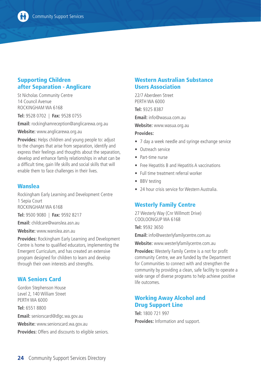#### Supporting Children after Separation - Anglicare

St Nicholas Community Centre 14 Council Avenue ROCKINGHAM WA 6168

**Tel:** 9528 0702 | **Fax:** 9528 0755

**Email:** rockinghamreception@anglicarewa.org.au

**Website:**<www.anglicarewa.org.au>

**Provides:** Helps children and young people to: adjust to the changes that arise from separation, identify and express their feelings and thoughts about the separation, develop and enhance family relationships in what can be a difficult time, gain life skills and social skills that will enable them to face challenges in their lives.

#### Wanslea

Rockingham Early Learning and Development Centre 1 Sepia Court ROCKINGHAM WA 6168

**Tel:** 9500 9080 | **Fax:** 9592 8217

**Email:** [childcare@wanslea.asn.au](mailto:childcare@wanslea.asn.au) 

Website: www.wanslea.asn.au.

**Provides:** Rockingham Early Learning and Development Centre is home to qualifed educators, implementing the Emergent Curriculum, and has created an extensive program designed for children to learn and develop through their own interests and strengths.

#### WA Seniors Card

Gordon Stephenson House Level 2, 140 William Street PERTH WA 6000 **Tel:** 6551 8800 **Email:** seniorscard@dlgc.wa.gov.au **Website:**<www.seniorscard.wa.gov.au>

**Provides:** Offers and discounts to eligible seniors.

#### Western Australian Substance Users Association

22/7 Aberdeen Street PERTH WA 6000

**Tel:** 9325 8387

**Email:** info@wasua.com.au

**Website:** <www.wasua.org.au>

#### **Provides:**

- 7 day a week needle and syringe exchange service
- Outreach service
- Part-time nurse
- Free Hepatitis B and Hepatitis A vaccinations
- Full time treatment referral worker
- BBV testing
- 24 hour crisis service for Western Australia.

#### Westerly Family Centre

27 Westerly Way (Cnr Willmott Drive) COOLOONGUP WA 6168

**Tel:** 9592 3650

**Email:** info@westerlyfamilycentre.com.au

**Website:** <www.westerlyfamilycentre.com.au>

Provides: Westerly Family Centre is a not for profit community Centre, we are funded by the Department for Communities to connect with and strengthen the community by providing a clean, safe facility to operate a wide range of diverse programs to help achieve positive life outcomes.

#### Working Away Alcohol and Drug Support Line

**Tel:** 1800 721 997 **Provides:** Information and support.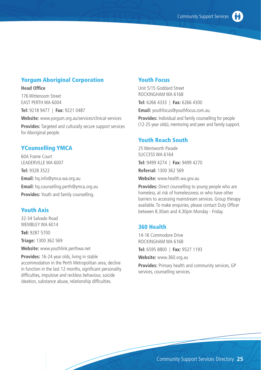

### Yorgum Aboriginal Corporation

#### **Head Offce**

176 Wittenoom Street EAST PERTH WA 6004

**Tel:** 9218 9477 | **Fax:** 9221 0487

**Website:** <www.yorgum.org.au/services/clinical-services>

**Provides:** Targeted and culturally secure support services for Aboriginal people.

#### YCounselling YMCA

60A Frame Court LEADERVILLE WA 6007 **Tel:** 9328 3522 **Email:** hq.info@ymca.wa.org.au **Email:** hq.counselling.perth@ymca.org.au **Provides:** Youth and family counselling.

#### Youth Axis

32-34 Salvado Road WEMBLEY WA 6014

Tel: 9287 5700

**Triage:** 1300 362 569

**Website:** <www.youthlink.perthwa.net>

**Provides:** 16-24 year olds, living in stable accommodation in the Perth Metropolitan area, decline in function in the last 12 months, significant personality difficulties, impulsive and reckless behaviour, suicide ideation, substance abuse, relationship difficulties.

#### Youth Focus

Unit 5/15 Goddard Street ROCKINGHAM WA 6168

**Tel:** 6266 4333 | **Fax:** 6266 4300

**Email:** youthfocus@youthfocus.com.au

 (12-25 year olds), mentoring and peer and family support. **Provides:** Individual and family counselling for people

#### Youth Reach South

25 Wentworth Parade SUCCESS WA 6164 **Tel:** 9499 4274 | **Fax:** 9499 4270

**Referral:** 1300 362 569

**Website:**<www.health.wa.gov.au>

**Provides:** Direct counselling to young people who are homeless, at risk of homelessness or who have other barriers to accessing mainstream services. Group therapy available. To make enquiries, please contact Duty Officer between 8.30am and 4.30pm Monday - Friday.

#### 360 Health

14-16 Commodore Drive ROCKINGHAM WA 6168

**Tel:** 6595 8800 | **Fax:** 9527 1193

**Website:**<www.360.org.au>

**Provides:** Primary health and community services, GP services, counselling services.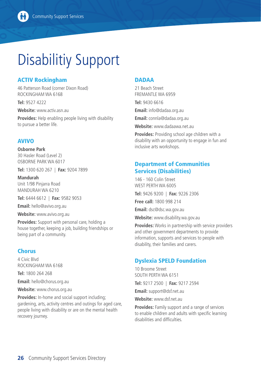# Disabilitiy Support

#### ACTIV Rockingham

46 Patterson Road (corner Dixon Road) ROCKINGHAM WA 6168

**Tel:** 9527 4222

**Website:**<www.activ.asn.au>

**Provides:** Help enabling people living with disability to pursue a better life.

#### AVIVO

**Osborne Park**  30 Hasler Road (Level 2) OSBORNE PARK WA 6017

**Tel:** 1300 620 267 | **Fax:** 9204 7899

**Mandurah**  Unit 1/98 Pinjarra Road MANDURAH WA 6210

**Tel:** 6444 6612 | **Fax:** 9582 9053

**Email:** hello@avivo.org.au

**Website:** <www.avivo.org.au>

**Provides:** Support with personal care, holding a house together, keeping a job, building friendships or being part of a community.

#### Chorus

4 Civic Blvd ROCKINGHAM WA 6168

**Tel:** 1800 264 268

**Email:** hello@chorus.org.au

**Website:**<www.chorus.org.au>

**Provides:** In-home and social support including; gardening, arts, activity centres and outings for aged care, people living with disability or are on the mental health recovery journey.

#### **DADAA**

21 Beach Street FREMANTLE WA 6959

**Tel:** 9430 6616

**Email:** info@dadaa.org.au

**Email:** connla@dadaa.org.au

**Website:** <www.dadaawa.net.au>

**Provides:** Providing school age children with a disability with an opportunity to engage in fun and inclusive arts workshops.

#### Department of Communities Services (Disabilities)

146 - 160 Colin Street WEST PERTH WA 6005

**Tel:** 9426 9200 | **Fax:** 9226 2306

**Free call:** 1800 998 214

**Email:** dsc@dsc.wa.gov.au

**Website:** <www.disability.wa.gov.au>

**Provides:** Works in partnership with service providers and other government departments to provide information, supports and services to people with disability, their families and carers.

#### Dyslexia SPELD Foundation

10 Broome Street SOUTH PERTH WA 6151

**Tel:** 9217 2500 | **Fax:** 9217 2594

**Email:** support@dsf.net.au

**Website:** <www.dsf.net.au>

**Provides:** Family support and a range of services to enable children and adults with specifc learning disabilities and difficulties.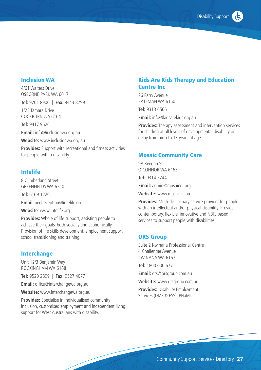

#### Inclusion WA

4/61 Walters Drive OSBORNE PARK WA 6017

**Tel:** 9201 8900 | **Fax:** 9443 8799

1/25 Tamara Drive COCKBURN WA 6164

**Tel:** 9417 9626

**Email:** info@inclusionwa.org.au

**Website:** <www.inclusionwa.org.au>

**Provides:** Support with recreational and fitness activities for people with a disability.

#### Intelife

8 Cumberland Street GREENFIELDS WA 6210

**Tel:** 6169 1220

**Email**: [peelreception@intelife.org](mailto:peelreception@intelife.org)

**Website**:<www.intelife.org>

**Provides:** Whole of life support, assisting people to achieve their goals, both socially and economically. Provision of life skills development, employment support, school transitioning and training.

#### Interchange

Unit 12/3 Benjamin Way ROCKINGHAM WA 6168

**Tel:** 9520 2899 | **Fax:** 9527 4077

**Email:** office@interchangewa.org.au

**Website:** <www.interchangewa.org.au>

**Provides:** Specialise in individualised community inclusion, customised employment and independent living support for West Australians with disability.

#### Kids Are Kids Therapy and Education Centre Inc

26 Parry Avenue BATEMAN WA 6150

**Tel:** 9313 6566

**Email:** info@kidsarekids.org.au

**Provides:** Therapy assessment and intervention services for children at all levels of developmental disability or delay from birth to 13 years of age.

#### Mosaic Community Care

9A Keegan St O'CONNOR WA 6163

**Tel:** 9314 5244

**Email:** [admin@mosaiccc.org](mailto:admin@mosaiccc.org) 

**Website:**<www.mosaiccc.org>

**Provides:** Multi-disciplinary service provider for people with an intellectual and/or physical disability. Provide contemporary, fexible, innovative and NDIS based services to support people with disabilities.

#### ORS Group

Suite 2 Kwinana Professional Centre 4 Challenger Avenue KWINANA WA 6167

**Tel:** 1800 000 677

**Email:** ors@orsgroup.com.au

**Website:**<www.orsgroup.com.au>

**Provides:** Disability Employment Services (DMS & ESS), PHaMs.

Community Support Services Directory **27**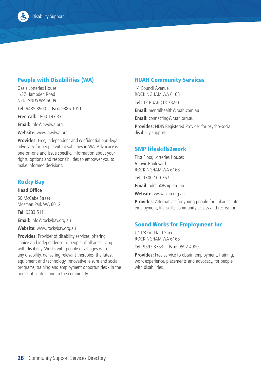

#### People with Disabilities (WA)

Oasis Lotteries House 1/37 Hampden Road NEDLANDS WA 6009

**Tel:** 9485 8900 | **Fax:** 9386 1011

**Free call:** 1800 193 331

**Email:** [info@pwdwa.org](mailto:info@pwdwa.org) 

**Website:**<www.pwdwa.org>

Provides: Free, independent and confidential non-legal advocacy for people with disabilities in WA. Advocacy is one-on-one and issue specifc. Information about your rights, options and responsibilities to empower you to make informed decisions.

#### Rocky Bay

#### **Head Office**

60 McCabe Street Mosman Park WA 6012

**Tel:** 9383 5111

**Email:** info@rockybay.org.au

**Website:**<www.rockybay.org.au>

**Provides:** Provider of disability services, offering choice and independence to people of all ages living with disability. Works with people of all ages with any disability, delivering relevant therapies, the latest equipment and technology, innovative leisure and social programs, training and employment opportunities - in the home, at centres and in the community.

#### RUAH Community Services

14 Council Avenue ROCKINGHAM WA 6168

**Tel:** 13 RUAH (13 7824)

**Email:** mentalhealth@ruah.com.au

**Email:** connecting@ruah.org.au

**Provides:** NDIS Registered Provider for psycho-social disability support.

#### SMP lifeskills2work

First Floor, Lotteries Houses 6 Civic Boulevard ROCKINGHAM WA 6168

**Tel:** 1300 100 767

**Email:** admin@smp.org.au

**Website:** <www.smp.org.au>

**Provides:** Alternatives for young people for linkages into employment, life skills, community access and recreation.

#### Sound Works for Employment Inc

U11/3 Goddard Street ROCKINGHAM WA 6168

**Tel:** 9592 3753 | **Fax:** 9592 4980

**Provides:** Free service to obtain employment, training, work experience, placements and advocacy, for people with disabilities.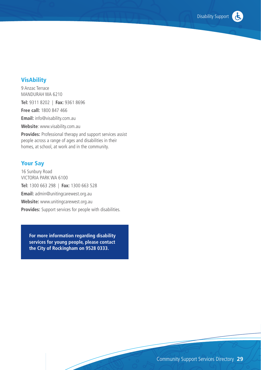#### **VisAbility**

9 Anzac Terrace MANDURAH WA 6210

**Tel:** 9311 8202 | **Fax:** 9361 8696

**Free call:** 1800 847 466

**Email:** info@visability.com.au

**Website**:<www.visability.com.au>

**Provides:** Professional therapy and support services assist people across a range of ages and disabilities in their homes, at school, at work and in the community.

#### Your Say

16 Sunbury Road VICTORIA PARK WA 6100 **Tel:** 1300 663 298 | **Fax:** 1300 663 528 **Email:** admin@unitingcarewest.org.au **Website:** <www.unitingcarewest.org.au> **Provides:** Support services for people with disabilities.

**For more information regarding disability services for young people, please contact the City of Rockingham on 9528 0333.**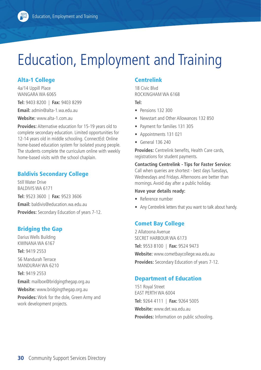

### Education, Employment and Training

#### Alta-1 College

4a/14 Uppill Place WANGARA WA 6065

**Tel:** 9403 8200 | **Fax:** 9403 8299

**Email:** admin@alta-1.wa.edu.au

**Website:**<www.alta-1.com.au>

**Provides:** Alternative education for 15-19 years old to complete secondary education. Limited opportunities for 12-14 years old in middle schooling. ConnectEd: Online home-based education system for isolated young people. The students complete the curriculum online with weekly home-based visits with the school chaplain.

#### Baldivis Secondary College

Still Water Drive BALDIVIS WA 6171 **Tel:** 9523 3600 | **Fax:** 9523 3606 **Email:** baldivis@education.wa.edu.au **Provides:** Secondary Education of years 7-12.

#### Bridging the Gap

Darius Wells Building KWINANA WA 6167

**Tel:** 9419 2553

56 Mandurah Terrace MANDURAH WA 6210

**Tel:** 9419 2553

**Email:** mailbox@bridgingthegap.org.au

**Website:**<www.bridgingthegap.org.au>

**Provides:** Work for the dole, Green Army and work development projects.

#### Centrelink

18 Civic Blvd ROCKINGHAM WA 6168

#### **Tel:**

- Pensions 132 300
- Newstart and Other Allowances 132 850
- Payment for families 131 305
- Appointments 131 021
- General 136 240

**Provides:** Centrelink benefits, Health Care cards, registrations for student payments.

 mornings. Avoid day after a public holiday. **Contacting Centrelink - Tips for Faster Service:**  Call when queries are shortest - best days Tuesdays, Wednesdays and Fridays. Afternoons are better than

#### **Have your details ready:**

- Reference number
- Any Centrelink letters that you want to talk about handy.

#### Comet Bay College

2 Allatoona Avenue SECRET HARBOUR WA 6173 **Tel:** 9553 8100 | **Fax:** 9524 9473 **Website:** <www.cometbaycollege.wa.edu.au> **Provides:** Secondary Education of years 7-12.

#### Department of Education

151 Royal Street EAST PERTH WA 6004 **Tel:** 9264 4111 | **Fax:** 9264 5005 **Website:** <www.det.wa.edu.au> **Provides:** Information on public schooling.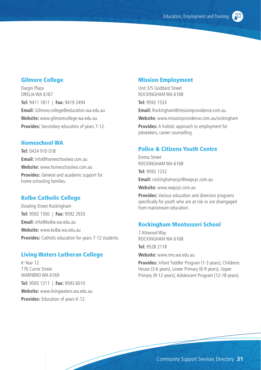

#### Gilmore College

Dargin Place ORELIA WA 6167 **Tel:** 9411 1811 | **Fax:** 9419 2494 **Email:** Gilmore.college@education.wa.edu.au **Website:** <www.gilmorecollege.wa.edu.au> **Provides:** Secondary education of years 7-12.

#### Homeschool WA

**Tel:** 0424 910 018 **Email:** info@homeschoolwa.com.au Website: www.homeschoolwa.com.au **Provides:** General and academic support for home-schooling families.

#### Kolbe Catholic College

Dowling Street Rockingham **Tel:** 9592 1500 | **Fax:** 9592 2933 **Email:** info@kolbe.wa.edu.au **Website:** <www.kolbe.wa.edu.au> **Provides:** Catholic education for years 7-12 students.

#### Living Waters Lutheran College

K-Year 12 176 Currie Street WARNBRO WA 6169 **Tel:** 9593 1211 | **Fax:** 9593 6010

**Website:** <www.livingwaters.wa.edu.au> **Provides:** Education of years K-12.

#### Mission Employment

Unit 3/5 Goddard Street ROCKINGHAM WA 6168

**Tel:** 9592 1533

**Email:** Rockingham@missionprovidence.com.au **Website:**<www.missionprovidence.com.au/rockingham> **Provides:** A holistic approach to employment for jobseekers, career counselling.

#### Police & Citizens Youth Centre

Emma Street ROCKINGHAM WA 6168 Tel: 9592 1232 **Email:** rockinghampcyc@wapcyc.com.au **Website:**<www.wapcyc.com.au>

**Provides:** Various education and diversion programs specifically for youth who are at risk or are disengaged from mainstream education.

#### Rockingham Montessori School

7 Attwood Way ROCKINGHAM WA 6168

**Tel:** 9528 2118

**Website:**<www.rms.wa.edu.au>

**Provides:** Infant Toddler Program (1-3 years), Childrens House (3-6 years), Lower Primary (6-9 years), Upper Primary (9-12 years), Adolescent Program (12-18 years).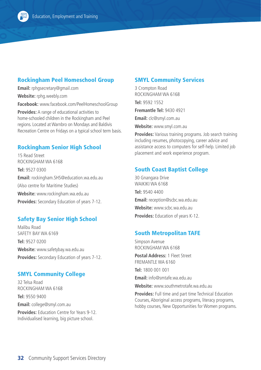

#### Rockingham Peel Homeschool Group

**Email:** [rphgsecretary@gmail.com](mailto:rphgsecretary@gmail.com)

**Website:** [rphg.weebly.com](https://rphg.weebly.com)

**Facebook:** <www.facebook.com/PeelHomeschoolGroup>

**Provides:** A range of educational activities to home-schooled children in the Rockingham and Peel regions. Located at Warnbro on Mondays and Baldivis Recreation Centre on Fridays on a typical school term basis.

#### Rockingham Senior High School

15 Read Street ROCKINGHAM WA 6168 **Tel:** 9527 0300 **Email:** rockingham.SHS@education.wa.edu.au (Also centre for Maritime Studies) **Website:**<www.rockingham.wa.edu.au> **Provides:** Secondary Education of years 7-12.

#### Safety Bay Senior High School

Malibu Road SAFETY BAY WA 6169 **Tel:** 9527 0200 **Website:**<www.safetybay.wa.edu.au> **Provides:** Secondary Education of years 7-12.

#### SMYL Community College

32 Telsa Road ROCKINGHAM WA 6168 **Tel:** 9550 9400 **Email:** college@smyl.com.au

 **Provides:** Education Centre for Years 9-12. Individualised learning, big picture school.

#### SMYL Community Services

3 Crompton Road ROCKINGHAM WA 6168

**Tel:** 9592 1552

**Fremantle Tel:** 9430 4921

**Email:** clc@smyl.com.au

**Website:** <www.smyl.com.au>

**Provides:** Various training programs. Job search training including resumes, photocopying, career advice and assistance access to computers for self-help. Limited job placement and work experience program.

#### South Coast Baptist College

30 Gnangara Drive WAIKIKI WA 6168 **Tel:** 9540 4400 **Email:** reception@scbc.wa.edu.au **Website:** <www.scbc.wa.edu.au> **Provides:** Education of years K-12.

#### South Metropolitan TAFE

Simpson Avenue ROCKINGHAM WA 6168

**Postal Address:** 1 Fleet Street FREMANTLE WA 6160

**Tel:** 1800 001 001

**Email:** info@smtafe.wa.edu.au

Website: <www.southmetrotafe.wa.edu.au>.

**Provides:** Full time and part time Technical Education Courses, Aboriginal access programs, literacy programs, hobby courses, New Opportunities for Women programs.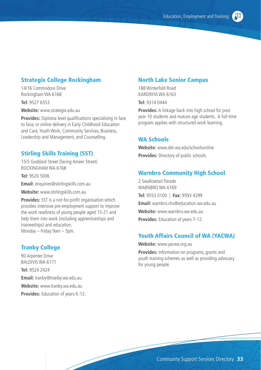

#### Strategix College Rockingham

14/16 Commodore Drive Rockingham WA 6168

**Tel:** 9527 6553

**Website:** <www.strategix.edu.au>

**Provides:** Diploma level qualifications specialising in face to face, or online delivery in Early Childhood Education and Care, Youth Work, Community Services, Business, Leadership and Management, and Counselling.

#### Stirling Skills Training (SST)

15/5 Goddard Street (facing Ameer Street) ROCKINGHAM WA 6168

**Tel:** 9520 5006

**Email:** enquiries@stirlingskills.com.au

**Website:** <www.stirlingskills.com.au>

traineeships) and education. Provides: SST is a not-for-profit organisation which provides intensive pre-employment support to improve the work readiness of young people aged 15-21 and help them into work (including apprenticeships and  $Mondav - Friday 9am - 5pm.$ 

#### Tranby College

90 Arpenter Drive BALDIVIS WA 6171 **Tel:** 9524 2424 **Email:** tranby@tranby.wa.edu.au **Website:** <www.tranby.wa.edu.au> **Provides:** Education of years K-12.

#### North Lake Senior Campus

188 Winterfold Road KARDINYA WA 6163

**Tel:** 9314 0444

 year 10 students and mature age students. A full-time **Provides:** A linkage back into high school for post program applies with structured work learning.

#### WA Schools

**Website:** <www.det.wa.edu/schoolsonline> **Provides:** Directory of public schools.

#### Warnbro Community High School

2 Swallowtail Parade WARNBRO WA 6169 **Tel:** 9553 0100 | **Fax:** 9593 4299 **Email:** warnbro.chs@education.wa.edu.au **Website:**<www.warnbro.wa.edu.au> **Provides:** Education of years 7-12.

#### Youth Affairs Council of WA (YACWA)

**Website:**<www.yacwa.org.au>

**Provides:** Information on programs, grants and youth training schemes as well as providing advocacy for young people.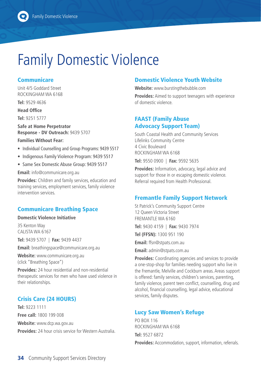## Family Domestic Violence

#### Communicare

Unit 4/5 Goddard Street ROCKINGHAM WA 6168

**Tel:** 9529 4636

#### **Head Office**

**Tel:** 9251 5777

**Safe at Home Perpetrator Response - DV Outreach:** 9439 5707

#### **Families Without Fear:**

- Individual Counselling and Group Programs: 9439 5517
- Indigenous Family Violence Program: 9439 5517
- Same Sex Domestic Abuse Group: 9439 5517

**Email:** info@communicare.org.au

 intervention services. **Provides:** Children and family services, education and training services, employment services, family violence

#### Communicare Breathing Space

#### **Domestic Violence Initiative**

35 Kenton Way CALISTA WA 6167

**Tel:** 9439 5707 | **Fax:** 9439 4437

**Email:** breathingspace@communicare.org.au

**Website:**<www.communicare.org.au> (click "Breathing Space")

**Provides:** 24 hour residential and non-residential therapeutic services for men who have used violence in their relationships.

#### Crisis Care (24 HOURS)

**Tel:** 9223 1111 **Free call:** 1800 199 008 **Website:**<www.dcp.wa.gov.au> **Provides:** 24 hour crisis service for Western Australia.

#### Domestic Violence Youth Website

**Website:** <www.burstingthebubble.com>

**Provides:** Aimed to support teenagers with experience of domestic violence.

#### FAAST (Family Abuse Advocacy Support Team)

South Coastal Health and Community Services Lifelinks Community Centre 4 Civic Boulevard ROCKINGHAM WA 6168

**Tel:** 9550 0900 | **Fax:** 9592 5635

**Provides:** Information, advocacy, legal advice and support for those in or escaping domestic violence. Referral required from Health Professional.

#### Fremantle Family Support Network

St Patrick's Community Support Centre 12 Queen Victoria Street FREMANTLE WA 6160

**Tel:** 9430 4159 | **Fax:** 9430 7974

**Tel (FFSN):** 1300 951 190

**Email:** ffsn@stpats.com.au

**Email:** admin@stpats.com.au

**Provides:** Coordinating agencies and services to provide a one-stop-shop for families needing support who live in the Fremantle, Melville and Cockburn areas. Areas support is offered: family services, children's services, parenting, family violence, parent teen confict, counselling, drug and alcohol, fnancial counselling, legal advice, educational services, family disputes.

#### Lucy Saw Women's Refuge

PO BOX 116 ROCKINGHAM WA 6168 **Tel:** 9527 6872 **Provides:** Accommodation, support, information, referrals.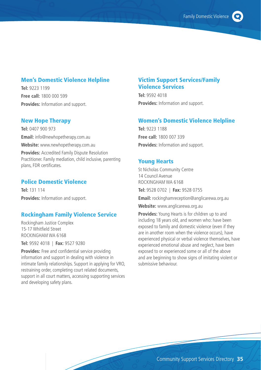#### Men's Domestic Violence Helpline

**Tel:** 9223 1199 **Free call:** 1800 000 599 **Provides:** Information and support.

#### New Hope Therapy

**Tel:** 0407 900 973 **Email:** info@newhopetherapy.com.au **Website:** <www.newhopetherapy.com.au> **Provides:** Accredited Family Dispute Resolution Practitioner. Family mediation, child inclusive, parenting plans, FDR certificates.

#### Police Domestic Violence

**Tel:** 131 114 **Provides:** Information and support.

#### Rockingham Family Violence Service

Rockingham Justice Complex 15-17 Whitfield Street ROCKINGHAM WA 6168

**Tel:** 9592 4018 | **Fax:** 9527 9280

**Provides:** Free and confidential service providing information and support in dealing with violence in intimate family relationships. Support in applying for VRO, restraining order, completing court related documents, support in all court matters, accessing supporting services and developing safety plans.

#### Victim Support Services/Family Violence Services

**Tel:** 9592 4018 **Provides:** Information and support.

#### Women's Domestic Violence Helpline

**Tel:** 9223 1188 **Free call:** 1800 007 339 **Provides:** Information and support.

#### Young Hearts

St Nicholas Community Centre 14 Council Avenue ROCKINGHAM WA 6168

**Tel:** 9528 0702 | **Fax:** 9528 0755

**Email:** rockinghamreception@anglicarewa.org.au

**Website:**<www.anglicarewa.org.au>

**Provides:** Young Hearts is for children up to and including 18 years old, and women who: have been exposed to family and domestic violence (even if they are in another room when the violence occurs), have experienced physical or verbal violence themselves, have experienced emotional abuse and neglect, have been exposed to or experienced some or all of the above and are beginning to show signs of imitating violent or submissive behaviour.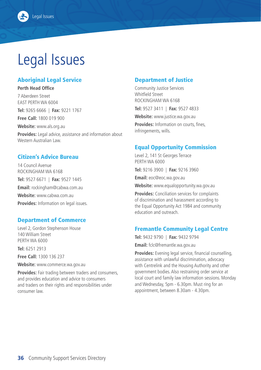# Legal Issues

Legal Issues

#### Aboriginal Legal Service

#### **Perth Head Office**

7 Aberdeen Street EAST PERTH WA 6004

**Tel:** 9265 6666 | **Fax:** 9221 1767

**Free Call:** 1800 019 900

**Website:**<www.als.org.au>

**Provides:** Legal advice, assistance and information about Western Australian Law.

#### Citizen's Advice Bureau

14 Council Avenue ROCKINGHAM WA 6168 **Tel:** 9527 6671 | **Fax:** 9527 1445 **Email:** rockingham@cabwa.com.au Website:<www.cabwa.com.au> **Provides:** Information on legal issues.

#### Department of Commerce

Level 2, Gordon Stephenson House 140 William Street PERTH WA 6000

**Tel:** 6251 2913

**Free Call:** 1300 136 237

**Website:**<www.commerce.wa.gov.au>

**Provides:** Fair trading between traders and consumers, and provides education and advice to consumers and traders on their rights and responsibilities under consumer law.

#### Department of Justice

Community Justice Services Whitfield Street ROCKINGHAM WA 6168

**Tel:** 9527 3411 | **Fax:** 9527 4833

**Website:** <www.justice.wa.gov.au>

**Provides:** Information on courts, fnes, infringements, wills.

#### Equal Opportunity Commission

Level 2, 141 St Georges Terrace PERTH WA 6000

**Tel:** 9216 3900 | **Fax:** 9216 3960

**Email:** eoc@eoc.wa.gov.au

**Website:** <www.equalopportunity.wa.gov.au>

**Provides:** Conciliation services for complaints of discrimination and harassment according to the Equal Opportunity Act 1984 and community education and outreach.

#### Fremantle Community Legal Centre

**Tel:** 9432 9790 | **Fax:** 9432 9794

**Email:** fclc@fremantle.wa.gov.au

**Provides:** Evening legal service, financial counselling, assistance with unlawful discrimination, advocacy with Centrelink and the Housing Authority and other government bodies. Also restraining order service at local court and family law information sessions. Monday and Wednesday, 5pm - 6.30pm. Must ring for an appointment, between 8.30am - 4.30pm.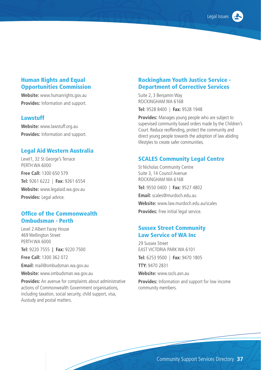Legal Issues

#### Human Rights and Equal Opportunities Commission

**Website:** <www.humanrights.gov.au> **Provides:** Information and support.

#### **Lawstuff**

**Website:** <www.lawstuff.org.au> **Provides:** Information and support.

#### Legal Aid Western Australia

Level1, 32 St George's Terrace PERTH WA 6000

**Free Call:** 1300 650 579 **Tel:** 9261 6222 | **Fax:** 9261 6554 **Website:** <www.legalaid.wa.gov.au>

**Provides:** Legal advice.

#### Office of the Commonwealth Ombudsman - Perth

Level 2 Albert Facey House 469 Wellington Street PERTH WA 6000

**Tel:** 9220 7555 **| Fax:** 9220 7500

**Free Call:** 1300 362 072

**Email:** mail@ombudsman.wa.gov.au

**Website:** <www.ombudsman.wa.gov.au>

**Provides:** An avenue for complaints about administrative actions of Commonwealth Government organisations, including taxation, social security, child support, visa, Austudy and postal matters.

#### Rockingham Youth Justice Service - Department of Corrective Services

Suite 2, 3 Benjamin Way ROCKINGHAM WA 6168

**Tel:** 9528 8400 | **Fax:** 9528 1948

**Provides:** Manages young people who are subject to supervised community based orders made by the Children's Court. Reduce reoffending, protect the community and direct young people towards the adoption of law abiding lifestyles to create safer communities.

#### SCALES Community Legal Centre

St Nicholas Community Centre Suite 3, 14 Council Avenue ROCKINGHAM WA 6168 **Tel:** 9550 0400 | **Fax:** 9527 4802 **Email:** scales@murdoch.edu.au **Website:**<www.law.murdoch.edu.au/scales> **Provides:** Free initial legal service.

#### Sussex Street Community Law Service of WA Inc

29 Sussex Street EAST VICTORIA PARK WA 6101 **Tel:** 6253 9500 | **Fax:** 9470 1805 **TTY:** 9470 2831

**Website:**<www.sscls.asn.au>

**Provides:** Information and support for low income community members.

Community Support Services Directory **37**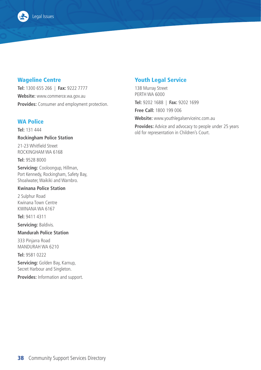

#### Wageline Centre

**Tel:** 1300 655 266 | **Fax:** 9222 7777 **Website:**<www.commerce.wa.gov.au> **Provides:** Consumer and employment protection.

#### WA Police

**Tel:** 131 444

#### **Rockingham Police Station**

21-23 Whitfield Street ROCKINGHAM WA 6168

**Tel:** 9528 8000

Servicing: Cooloongup, Hillman, **Servicing:** Cooloongup, Hillman,<br>Port Kennedy, Rockingham, Safety Bay,<br>Shoalwater, Waikiki and Warnbro.

#### **Kwinana Police Station**

2 Sulphur Road Kwinana Town Centre KWINANA WA 6167

**Tel:** 9411 4311

**Servicing:** Baldivis.

#### **Mandurah Police Station**

333 Pinjarra Road MANDURAH WA 6210

**Tel:** 9581 0222

**Servicing:** Golden Bay, Karnup,<br>Secret Harbour and Singleton.

**Provides:** Information and support.

#### Youth Legal Service

138 Murray Street PERTH WA 6000

**Tel:** 9202 1688 | **Fax:** 9202 1699

**Free Call:** 1800 199 006

**Website:** <www.youthlegalserviceinc.com.au>

**Provides:** Advice and advocacy to people under 25 years old for representation in Children's Court.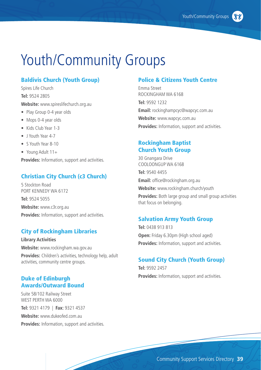

### Youth/Community Groups

#### Baldivis Church (Youth Group)

Spires Life Church **Tel:** 9524 2805 **Website:** <www.spireslifechurch.org.au>

- Play Group 0-4 year olds
- Mops 0-4 year olds
- Kids Club Year 1-3
- J Youth Year 4-7
- S Youth Year 8-10
- Young Adult 11+

**Provides:** Information, support and activities.

#### Christian City Church (c3 Church)

5 Stockton Road PORT KENNEDY WA 6172 **Tel:** 9524 5055 **Website:** <www.c3r.org.au> **Provides:** Information, support and activities.

#### City of Rockingham Libraries

**Library Activities Website:** <www.rockingham.wa.gov.au> **Provides:** Children's activities, technology help, adult activities, community centre groups.

#### Duke of Edinburgh Awards/Outward Bound

Suite 58/102 Railway Street WEST PERTH WA 6000 **Tel:** 9321 4179 | **Fax:** 9321 4537 **Website:** <www.dukeofed.com.au> **Provides:** Information, support and activities.

#### Police & Citizens Youth Centre

Emma Street ROCKINGHAM WA 6168 **Tel:** 9592 1232 **Email:** rockinghampcyc@wapcyc.com.au **Website:**<www.wapcyc.com.au> **Provides:** Information, support and activities.

#### Rockingham Baptist Church Youth Group

30 Gnangara Drive COOLOONGUP WA 6168

**Tel:** 9540 4455

**Email:** office@rockingham.org.au

**Website:**<www.rockingham.church/youth>

**Provides:** Both large group and small group activities that focus on belonging.

#### Salvation Army Youth Group

**Tel:** 0438 913 813 **Open:** Friday 6.30pm (High school aged) **Provides:** Information, support and activities.

#### Sound City Church (Youth Group)

**Tel:** 9592 2457 **Provides:** Information, support and activities.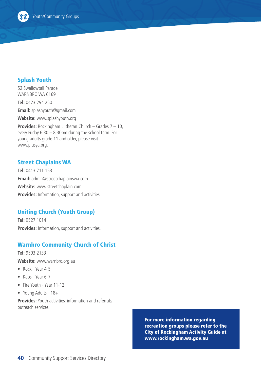

#### Splash Youth

52 Swallowtail Parade WARNBRO WA 6169

**Tel:** 0423 294 250

**Email:** [splashyouth@gmail.com](mailto:splashyouth@gmail.com) 

**Website:**<www.splashyouth.org>

**Provides:** Rockingham Lutheran Church – Grades 7 – 10, every Friday 6.30 – 8.30pm during the school term. For young adults grade 11 and older, please visit <www.plusya.org>.

#### Street Chaplains WA

**Tel:** 0413 711 153 **Email:** [admin@streetchaplainswa.com](mailto:admin@streetchaplainswa.com) **Website:**<www.streetchaplain.com> **Provides:** Information, support and activities.

#### Uniting Church (Youth Group)

**Tel:** 9527 1014 **Provides:** Information, support and activities.

#### Warnbro Community Church of Christ

#### **Tel:** 9593 2133

**Website:**<www.warnbro.org.au>

- Rock Year 4-5
- Kaos Year 6-7
- Fire Youth Year 11-12
- Young Adults 18+

**Provides:** Youth activities, information and referrals, outreach services.

> For more information regarding recreation groups please refer to the City of Rockingham Activity Guide at www.rockingham.wa.gov.au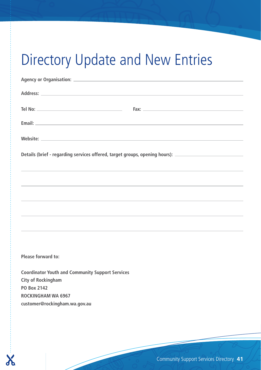### Directory Update and New Entries

| Tel No: <u>Andrea Maria and American and American and American and American and American and American and American and American and American and American and American and American and American and American and American and A</u> |
|--------------------------------------------------------------------------------------------------------------------------------------------------------------------------------------------------------------------------------------|
|                                                                                                                                                                                                                                      |
|                                                                                                                                                                                                                                      |
| Details (brief - regarding services offered, target groups, opening hours): _______________________                                                                                                                                  |
|                                                                                                                                                                                                                                      |
|                                                                                                                                                                                                                                      |
|                                                                                                                                                                                                                                      |
|                                                                                                                                                                                                                                      |
|                                                                                                                                                                                                                                      |
|                                                                                                                                                                                                                                      |
| Please forward to:                                                                                                                                                                                                                   |
| <b>Coordinator Youth and Community Support Services</b>                                                                                                                                                                              |
| <b>City of Rockingham</b>                                                                                                                                                                                                            |
| <b>PO Box 2142</b>                                                                                                                                                                                                                   |
| <b>ROCKINGHAM WA 6967</b>                                                                                                                                                                                                            |
| customer@rockingham.wa.gov.au                                                                                                                                                                                                        |
|                                                                                                                                                                                                                                      |

 $\lambda$ 

Community Support Services Directory **41**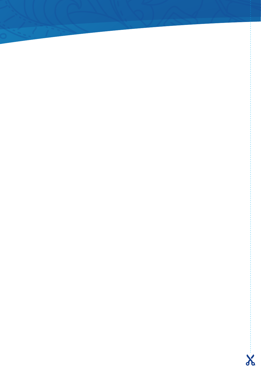

 $\chi$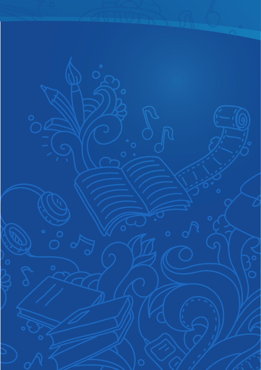